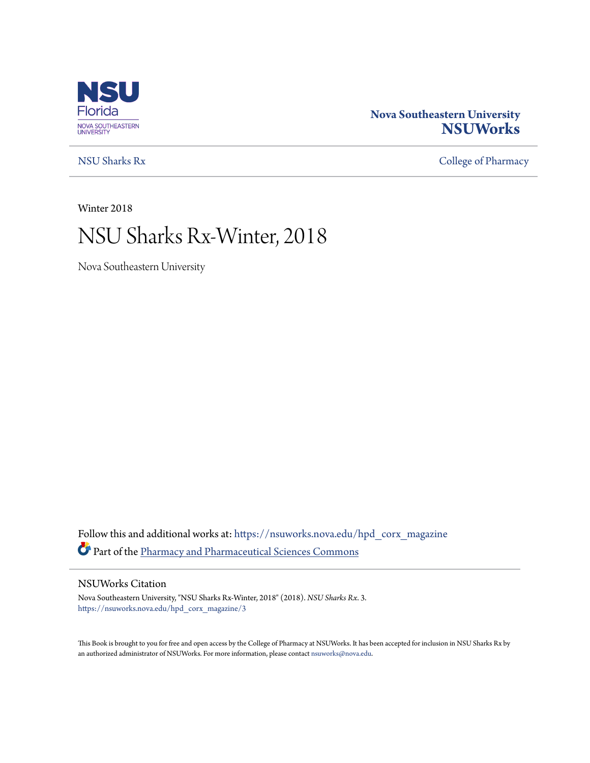

# **Nova Southeastern University [NSUWorks](https://nsuworks.nova.edu?utm_source=nsuworks.nova.edu%2Fhpd_corx_magazine%2F3&utm_medium=PDF&utm_campaign=PDFCoverPages)**

[NSU Sharks Rx](https://nsuworks.nova.edu/hpd_corx_magazine?utm_source=nsuworks.nova.edu%2Fhpd_corx_magazine%2F3&utm_medium=PDF&utm_campaign=PDFCoverPages) [College of Pharmacy](https://nsuworks.nova.edu/hpd_corx?utm_source=nsuworks.nova.edu%2Fhpd_corx_magazine%2F3&utm_medium=PDF&utm_campaign=PDFCoverPages)

Winter 2018

# NSU Sharks Rx-Winter, 2018

Nova Southeastern University

Follow this and additional works at: [https://nsuworks.nova.edu/hpd\\_corx\\_magazine](https://nsuworks.nova.edu/hpd_corx_magazine?utm_source=nsuworks.nova.edu%2Fhpd_corx_magazine%2F3&utm_medium=PDF&utm_campaign=PDFCoverPages) Part of the [Pharmacy and Pharmaceutical Sciences Commons](http://network.bepress.com/hgg/discipline/731?utm_source=nsuworks.nova.edu%2Fhpd_corx_magazine%2F3&utm_medium=PDF&utm_campaign=PDFCoverPages)

#### NSUWorks Citation

Nova Southeastern University, "NSU Sharks Rx-Winter, 2018" (2018). *NSU Sharks Rx*. 3. [https://nsuworks.nova.edu/hpd\\_corx\\_magazine/3](https://nsuworks.nova.edu/hpd_corx_magazine/3?utm_source=nsuworks.nova.edu%2Fhpd_corx_magazine%2F3&utm_medium=PDF&utm_campaign=PDFCoverPages)

This Book is brought to you for free and open access by the College of Pharmacy at NSUWorks. It has been accepted for inclusion in NSU Sharks Rx by an authorized administrator of NSUWorks. For more information, please contact [nsuworks@nova.edu.](mailto:nsuworks@nova.edu)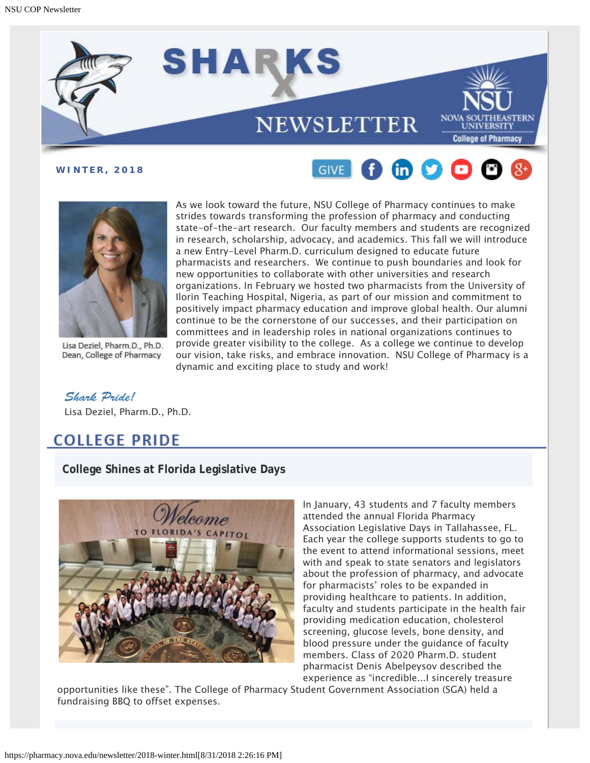





Lisa Deziel, Pharm.D., Ph.D. Dean, College of Pharmacy

As we look toward the future, NSU College of Pharmacy continues to make strides towards transforming the profession of pharmacy and conducting state-of-the-art research. Our faculty members and students are recognized in research, scholarship, advocacy, and academics. This fall we will introduce a new Entry-Level Pharm.D. curriculum designed to educate future pharmacists and researchers. We continue to push boundaries and look for new opportunities to collaborate with other universities and research organizations. In February we hosted two pharmacists from the University of Ilorin Teaching Hospital, Nigeria, as part of our mission and commitment to positively impact pharmacy education and improve global health. Our alumni continue to be the cornerstone of our successes, and their participation on committees and in leadership roles in national organizations continues to provide greater visibility to the college. As a college we continue to develop our vision, take risks, and embrace innovation. NSU College of Pharmacy is a dynamic and exciting place to study and work!

*Shark Pride!* Lisa Deziel, Pharm.D., Ph.D.

# **COLLEGE PRIDE**

**College Shines at Florida Legislative Days**



In January, 43 students and 7 faculty members attended the annual Florida Pharmacy Association Legislative Days in Tallahassee, FL. Each year the college supports students to go to the event to attend informational sessions, meet with and speak to state senators and legislators about the profession of pharmacy, and advocate for pharmacists' roles to be expanded in providing healthcare to patients. In addition, faculty and students participate in the health fair providing medication education, cholesterol screening, glucose levels, bone density, and blood pressure under the guidance of faculty members. Class of 2020 Pharm.D. student pharmacist Denis Abelpeysov described the experience as "incredible...I sincerely treasure

opportunities like these". The College of Pharmacy Student Government Association (SGA) held a fundraising BBQ to offset expenses.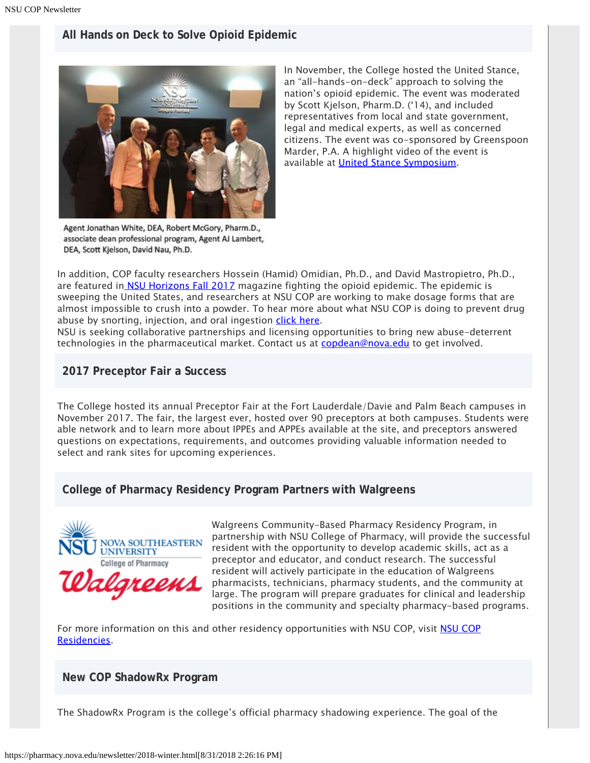# **All Hands on Deck to Solve Opioid Epidemic**



In November, the College hosted the United Stance, an "all-hands-on-deck" approach to solving the nation's opioid epidemic. The event was moderated by Scott Kjelson, Pharm.D. ('14), and included representatives from local and state government, legal and medical experts, as well as concerned citizens. The event was co-sponsored by Greenspoon Marder, P.A. A highlight video of the event is available at [United Stance Symposium](https://www.youtube.com/watch?v=Xr7UlIExfq0).

Agent Jonathan White, DEA, Robert McGory, Pharm.D., associate dean professional program, Agent AJ Lambert, DEA, Scott Kjelson, David Nau, Ph.D.

In addition, COP faculty researchers Hossein (Hamid) Omidian, Ph.D., and David Mastropietro, Ph.D., are featured in **NSU Horizons Fall 2017** magazine fighting the opioid epidemic. The epidemic is sweeping the United States, and researchers at NSU COP are working to make dosage forms that are almost impossible to crush into a powder. To hear more about what NSU COP is doing to prevent drug abuse by snorting, injection, and oral ingestion [click here](https://www.youtube.com/watch?v=NvbWXvzRy2M&feature=youtu.be).

NSU is seeking collaborative partnerships and licensing opportunities to bring new abuse-deterrent technologies in the pharmaceutical market. Contact us at [copdean@nova.edu](mailto:copdean@nova.edu) to get involved.

### **2017 Preceptor Fair a Success**

The College hosted its annual Preceptor Fair at the Fort Lauderdale/Davie and Palm Beach campuses in November 2017. The fair, the largest ever, hosted over 90 preceptors at both campuses. Students were able network and to learn more about IPPEs and APPEs available at the site, and preceptors answered questions on expectations, requirements, and outcomes providing valuable information needed to select and rank sites for upcoming experiences.

## **College of Pharmacy Residency Program Partners with Walgreens**



Walgreens Community-Based Pharmacy Residency Program, in partnership with NSU College of Pharmacy, will provide the successful resident with the opportunity to develop academic skills, act as a preceptor and educator, and conduct research. The successful resident will actively participate in the education of Walgreens pharmacists, technicians, pharmacy students, and the community at large. The program will prepare graduates for clinical and leadership positions in the community and specialty pharmacy-based programs.

For more information on this and other residency opportunities with [NSU COP](https://pharmacy.nova.edu/graduate/residencies.html), visit NSU COP [Residencies.](https://pharmacy.nova.edu/graduate/residencies.html)

### **New COP ShadowRx Program**

The ShadowRx Program is the college's official pharmacy shadowing experience. The goal of the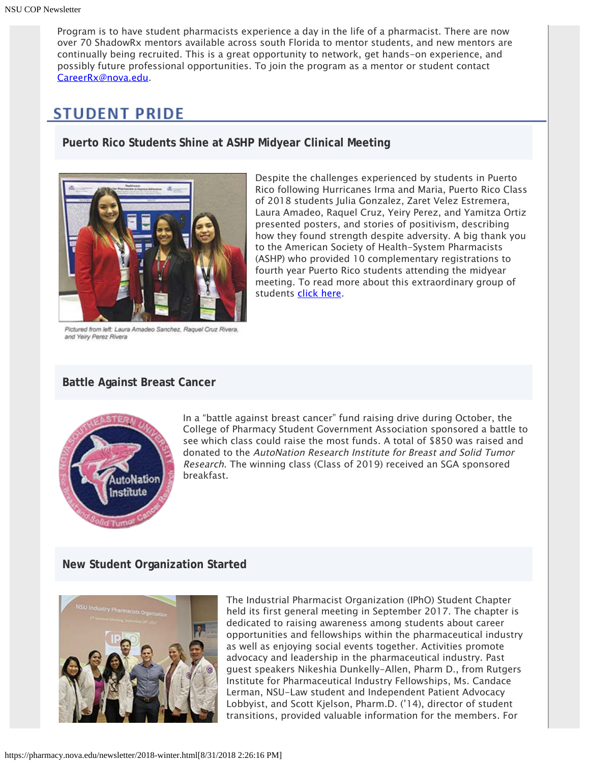Program is to have student pharmacists experience a day in the life of a pharmacist. There are now over 70 ShadowRx mentors available across south Florida to mentor students, and new mentors are continually being recruited. This is a great opportunity to network, get hands-on experience, and possibly future professional opportunities. To join the program as a mentor or student contact [CareerRx@nova.edu.](mailto:CareeRx@nova.edu)

# **STUDENT PRIDE**

**Puerto Rico Students Shine at ASHP Midyear Clinical Meeting**



Despite the challenges experienced by students in Puerto Rico following Hurricanes Irma and Maria, Puerto Rico Class of 2018 students Julia Gonzalez, Zaret Velez Estremera, Laura Amadeo, Raquel Cruz, Yeiry Perez, and Yamitza Ortiz presented posters, and stories of positivism, describing how they found strength despite adversity. A big thank you to the American Society of Health-System Pharmacists (ASHP) who provided 10 complementary registrations to fourth year Puerto Rico students attending the midyear meeting. To read more about this extraordinary group of students [click here](https://www.ashp.org/news/2018/01/17/pharmacy-students-in-puerto-rico-stay-positive-despite-hardships).

Pictured from left: Laura Amadeo Sanchez, Raquel Cruz Rivera, and Yeiry Perez Rivera

### **Battle Against Breast Cancer**



In a "battle against breast cancer" fund raising drive during October, the College of Pharmacy Student Government Association sponsored a battle to see which class could raise the most funds. A total of \$850 was raised and donated to the AutoNation Research Institute for Breast and Solid Tumor Research. The winning class (Class of 2019) received an SGA sponsored breakfast.

## **New Student Organization Started**



The Industrial Pharmacist Organization (IPhO) Student Chapter held its first general meeting in September 2017. The chapter is dedicated to raising awareness among students about career opportunities and fellowships within the pharmaceutical industry as well as enjoying social events together. Activities promote advocacy and leadership in the pharmaceutical industry. Past guest speakers Nikeshia Dunkelly-Allen, Pharm D., from Rutgers Institute for Pharmaceutical Industry Fellowships, Ms. Candace Lerman, NSU-Law student and Independent Patient Advocacy Lobbyist, and Scott Kjelson, Pharm.D. ('14), director of student transitions, provided valuable information for the members. For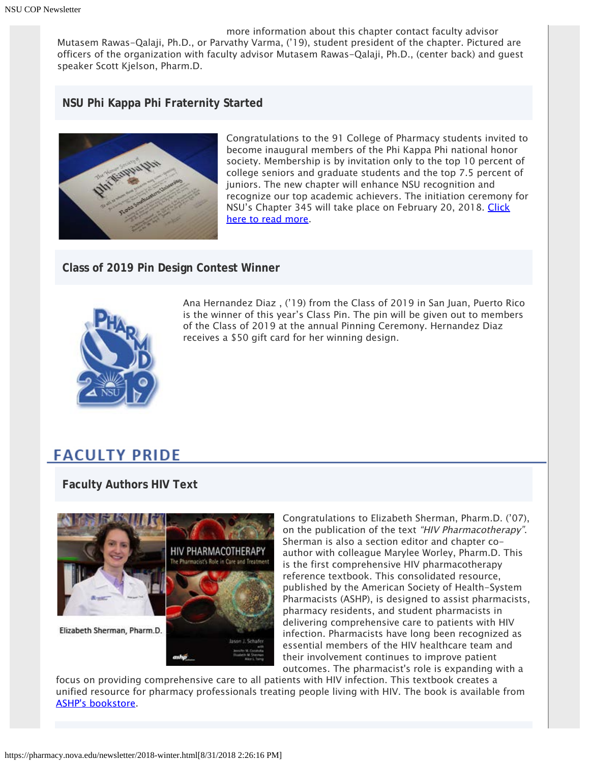more information about this chapter contact faculty advisor Mutasem Rawas-Qalaji, Ph.D., or Parvathy Varma, ('19), student president of the chapter. Pictured are officers of the organization with faculty advisor Mutasem Rawas-Qalaji, Ph.D., (center back) and guest speaker Scott Kjelson, Pharm.D.

### **NSU Phi Kappa Phi Fraternity Started**



Congratulations to the 91 College of Pharmacy students invited to become inaugural members of the Phi Kappa Phi national honor society. Membership is by invitation only to the top 10 percent of college seniors and graduate students and the top 7.5 percent of juniors. The new chapter will enhance NSU recognition and recognize our top academic achievers. The initiation ceremony for NSU's Chapter 345 will take place on February 20, 2018. [Click](https://nsunews.nova.edu/phi-kappa-phi-installs-new-chapter-at-nsu/) [here to read more](https://nsunews.nova.edu/phi-kappa-phi-installs-new-chapter-at-nsu/).

**Class of 2019 Pin Design Contest Winner**



Ana Hernandez Diaz , ('19) from the Class of 2019 in San Juan, Puerto Rico is the winner of this year's Class Pin. The pin will be given out to members of the Class of 2019 at the annual Pinning Ceremony. Hernandez Diaz receives a \$50 gift card for her winning design.

# **FACULTY PRIDE**

**Faculty Authors HIV Text**



Congratulations to Elizabeth Sherman, Pharm.D. ('07), on the publication of the text "HIV Pharmacotherapy". Sherman is also a section editor and chapter coauthor with colleague Marylee Worley, Pharm.D. This is the first comprehensive HIV pharmacotherapy reference textbook. This consolidated resource, published by the American Society of Health-System Pharmacists (ASHP), is designed to assist pharmacists, pharmacy residents, and student pharmacists in delivering comprehensive care to patients with HIV infection. Pharmacists have long been recognized as essential members of the HIV healthcare team and their involvement continues to improve patient outcomes. The pharmacist's role is expanding with a

focus on providing comprehensive care to all patients with HIV infection. This textbook creates a unified resource for pharmacy professionals treating people living with HIV. The book is available from [ASHP's bookstore.](https://store.ashp.org/Default.aspx?TabID=251&productId=572974134)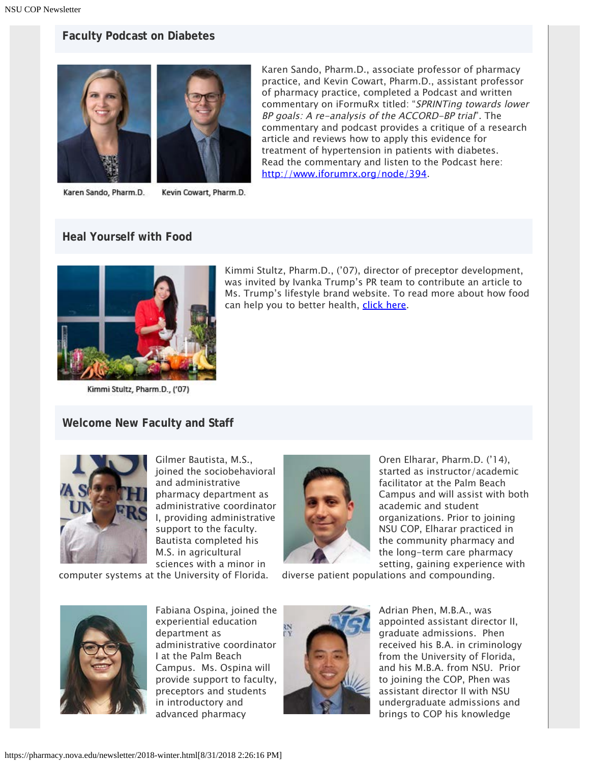### **Faculty Podcast on Diabetes**



Karen Sando, Pharm.D. Kevin Cowart, Pharm.D.

Karen Sando, Pharm.D., associate professor of pharmacy practice, and Kevin Cowart, Pharm.D., assistant professor of pharmacy practice, completed a Podcast and written commentary on iFormuRx titled: "SPRINTing towards lower BP goals: A re-analysis of the ACCORD-BP trial". The commentary and podcast provides a critique of a research article and reviews how to apply this evidence for treatment of hypertension in patients with diabetes. Read the commentary and listen to the Podcast here: <http://www.iforumrx.org/node/394>.

#### **Heal Yourself with Food**



Kimmi Stultz, Pharm.D., ('07)

Kimmi Stultz, Pharm.D., ('07), director of preceptor development, was invited by Ivanka Trump's PR team to contribute an article to Ms. Trump's lifestyle brand website. To read more about how food can help you to better health, [click here](https://www.ivankatrump.com/articles/heal-yourself-food-kimmi-stultz).

#### **Welcome New Faculty and Staff**



Gilmer Bautista, M.S., joined the sociobehavioral and administrative pharmacy department as administrative coordinator I, providing administrative support to the faculty. Bautista completed his M.S. in agricultural sciences with a minor in

computer systems at the University of Florida.



Oren Elharar, Pharm.D. ('14), started as instructor/academic facilitator at the Palm Beach Campus and will assist with both academic and student organizations. Prior to joining NSU COP, Elharar practiced in the community pharmacy and the long-term care pharmacy setting, gaining experience with

diverse patient populations and compounding.



Fabiana Ospina, joined the experiential education department as administrative coordinator I at the Palm Beach Campus. Ms. Ospina will provide support to faculty, preceptors and students in introductory and advanced pharmacy



Adrian Phen, M.B.A., was appointed assistant director II, graduate admissions. Phen received his B.A. in criminology from the University of Florida, and his M.B.A. from NSU. Prior to joining the COP, Phen was assistant director II with NSU undergraduate admissions and brings to COP his knowledge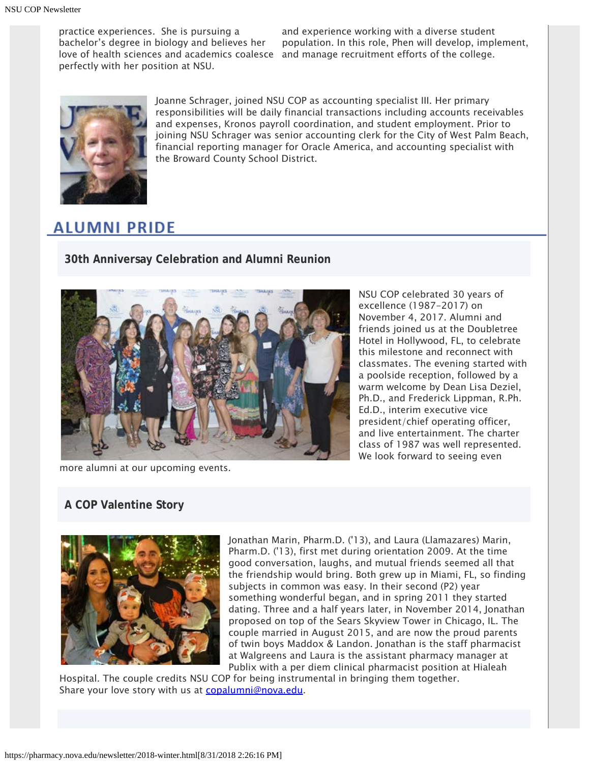practice experiences. She is pursuing a bachelor's degree in biology and believes her love of health sciences and academics coalesce and manage recruitment efforts of the college. perfectly with her position at NSU.

and experience working with a diverse student population. In this role, Phen will develop, implement,



Joanne Schrager, joined NSU COP as accounting specialist III. Her primary responsibilities will be daily financial transactions including accounts receivables and expenses, Kronos payroll coordination, and student employment. Prior to joining NSU Schrager was senior accounting clerk for the City of West Palm Beach, financial reporting manager for Oracle America, and accounting specialist with the Broward County School District.

# **ALUMNI PRIDE**

**30th Anniversay Celebration and Alumni Reunion**



NSU COP celebrated 30 years of excellence (1987-2017) on November 4, 2017. Alumni and friends joined us at the Doubletree Hotel in Hollywood, FL, to celebrate this milestone and reconnect with classmates. The evening started with a poolside reception, followed by a warm welcome by Dean Lisa Deziel, Ph.D., and Frederick Lippman, R.Ph. Ed.D., interim executive vice president/chief operating officer, and live entertainment. The charter class of 1987 was well represented. We look forward to seeing even

more alumni at our upcoming events.

# **A COP Valentine Story**



Jonathan Marin, Pharm.D. ('13), and Laura (Llamazares) Marin, Pharm.D. ('13), first met during orientation 2009. At the time good conversation, laughs, and mutual friends seemed all that the friendship would bring. Both grew up in Miami, FL, so finding subjects in common was easy. In their second (P2) year something wonderful began, and in spring 2011 they started dating. Three and a half years later, in November 2014, Jonathan proposed on top of the Sears Skyview Tower in Chicago, IL. The couple married in August 2015, and are now the proud parents of twin boys Maddox & Landon. Jonathan is the staff pharmacist at Walgreens and Laura is the assistant pharmacy manager at Publix with a per diem clinical pharmacist position at Hialeah

Hospital. The couple credits NSU COP for being instrumental in bringing them together. Share your love story with us at [copalumni@nova.edu](mailto:copalumni@nova.edu).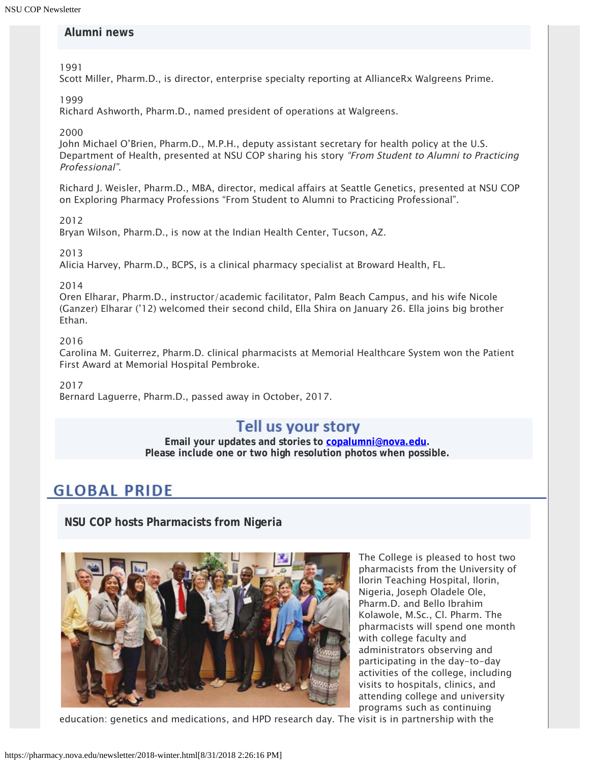### **Alumni news**

1991

Scott Miller, Pharm.D., is director, enterprise specialty reporting at AllianceRx Walgreens Prime.

1999

Richard Ashworth, Pharm.D., named president of operations at Walgreens.

2000

John Michael O'Brien, Pharm.D., M.P.H., deputy assistant secretary for health policy at the U.S. Department of Health, presented at NSU COP sharing his story "From Student to Alumni to Practicing Professional".

Richard J. Weisler, Pharm.D., MBA, director, medical affairs at Seattle Genetics, presented at NSU COP on Exploring Pharmacy Professions "From Student to Alumni to Practicing Professional".

2012

Bryan Wilson, Pharm.D., is now at the Indian Health Center, Tucson, AZ.

2013

Alicia Harvey, Pharm.D., BCPS, is a clinical pharmacy specialist at Broward Health, FL.

#### 2014

Oren Elharar, Pharm.D., instructor/academic facilitator, Palm Beach Campus, and his wife Nicole (Ganzer) Elharar ('12) welcomed their second child, Ella Shira on January 26. Ella joins big brother Ethan.

2016

Carolina M. Guiterrez, Pharm.D. clinical pharmacists at Memorial Healthcare System won the Patient First Award at Memorial Hospital Pembroke.

2017

Bernard Laguerre, Pharm.D., passed away in October, 2017.

# Tell us your story

**Email your updates and stories to [copalumni@nova.edu.](mailto:copalumni@nova.edu) Please include one or two high resolution photos when possible.**

# **GLOBAL PRIDE**

**NSU COP hosts Pharmacists from Nigeria**



The College is pleased to host two pharmacists from the University of Ilorin Teaching Hospital, Ilorin, Nigeria, Joseph Oladele Ole, Pharm.D. and Bello Ibrahim Kolawole, M.Sc., Cl. Pharm. The pharmacists will spend one month with college faculty and administrators observing and participating in the day-to-day activities of the college, including visits to hospitals, clinics, and attending college and university programs such as continuing

education: genetics and medications, and HPD research day. The visit is in partnership with the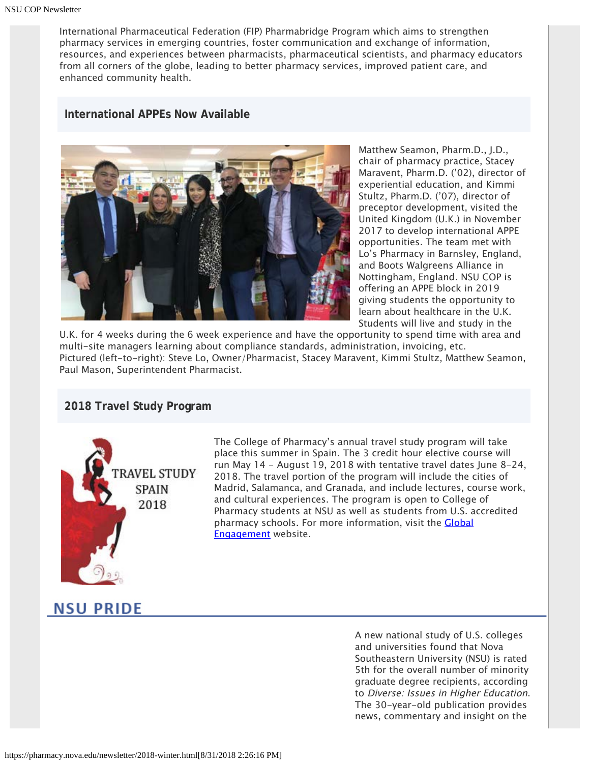International Pharmaceutical Federation (FIP) Pharmabridge Program which aims to strengthen pharmacy services in emerging countries, foster communication and exchange of information, resources, and experiences between pharmacists, pharmaceutical scientists, and pharmacy educators from all corners of the globe, leading to better pharmacy services, improved patient care, and enhanced community health.

#### **International APPEs Now Available**



Matthew Seamon, Pharm.D., J.D., chair of pharmacy practice, Stacey Maravent, Pharm.D. ('02), director of experiential education, and Kimmi Stultz, Pharm.D. ('07), director of preceptor development, visited the United Kingdom (U.K.) in November 2017 to develop international APPE opportunities. The team met with Lo's Pharmacy in Barnsley, England, and Boots Walgreens Alliance in Nottingham, England. NSU COP is offering an APPE block in 2019 giving students the opportunity to learn about healthcare in the U.K. Students will live and study in the

U.K. for 4 weeks during the 6 week experience and have the opportunity to spend time with area and multi-site managers learning about compliance standards, administration, invoicing, etc. Pictured (left-to-right): Steve Lo, Owner/Pharmacist, Stacey Maravent, Kimmi Stultz, Matthew Seamon, Paul Mason, Superintendent Pharmacist.

#### **2018 Travel Study Program**



The College of Pharmacy's annual travel study program will take place this summer in Spain. The 3 credit hour elective course will run May 14 - August 19, 2018 with tentative travel dates June 8-24, 2018. The travel portion of the program will include the cities of Madrid, Salamanca, and Granada, and include lectures, course work, and cultural experiences. The program is open to College of Pharmacy students at NSU as well as students from U.S. accredited pharmacy schools. For more information, visit the **[Global](https://pharmacy.nova.edu/global-engagement/travel-study.html)** [Engagement](https://pharmacy.nova.edu/global-engagement/travel-study.html) website.

# **NSU PRIDE**

A new national study of U.S. colleges and universities found that Nova Southeastern University (NSU) is rated 5th for the overall number of minority graduate degree recipients, according to Diverse: Issues in Higher Education. The 30-year-old publication provides news, commentary and insight on the